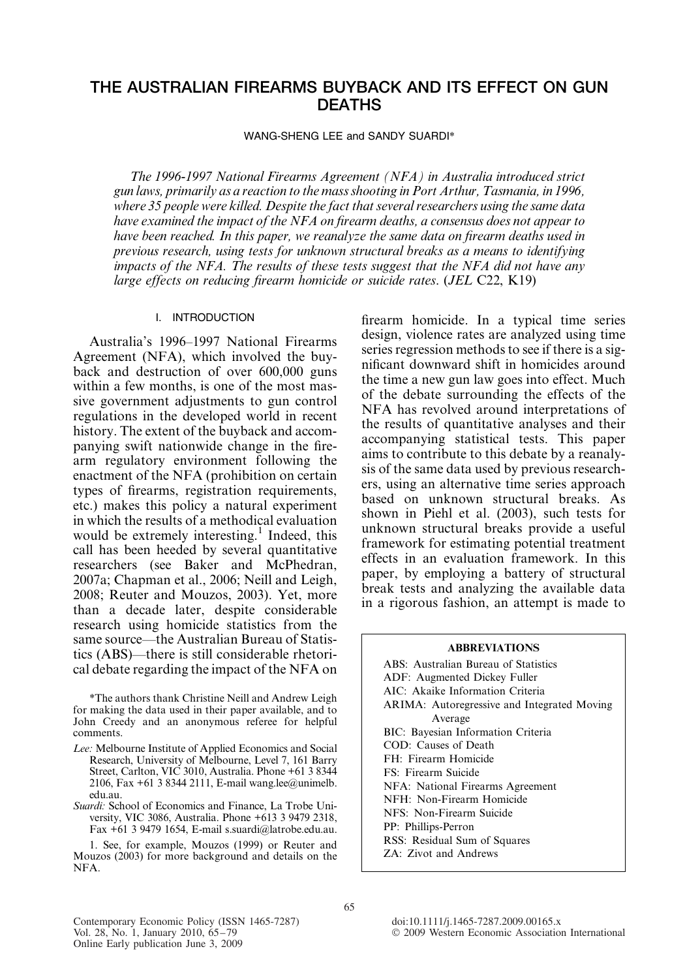# THE AUSTRALIAN FIREARMS BUYBACK AND ITS EFFECT ON GUN DEATHS

WANG-SHENG LEE and SANDY SUARDI\*

The 1996-1997 National Firearms Agreement (NFA) in Australia introduced strict gun laws, primarily as a reaction to the mass shooting in Port Arthur, Tasmania, in 1996, where 35 people were killed. Despite the fact that several researchers using the same data have examined the impact of the NFA on firearm deaths, a consensus does not appear to have been reached. In this paper, we reanalyze the same data on firearm deaths used in previous research, using tests for unknown structural breaks as a means to identifying impacts of the NFA. The results of these tests suggest that the NFA did not have any large effects on reducing firearm homicide or suicide rates. (JEL C22, K19)

#### I. INTRODUCTION

Australia's 1996–1997 National Firearms Agreement (NFA), which involved the buyback and destruction of over 600,000 guns within a few months, is one of the most massive government adjustments to gun control regulations in the developed world in recent history. The extent of the buyback and accompanying swift nationwide change in the firearm regulatory environment following the enactment of the NFA (prohibition on certain types of firearms, registration requirements, etc.) makes this policy a natural experiment in which the results of a methodical evaluation would be extremely interesting. $<sup>1</sup>$  Indeed, this</sup> call has been heeded by several quantitative researchers (see Baker and McPhedran, 2007a; Chapman et al., 2006; Neill and Leigh, 2008; Reuter and Mouzos, 2003). Yet, more than a decade later, despite considerable research using homicide statistics from the same source—the Australian Bureau of Statistics (ABS)—there is still considerable rhetorical debate regarding the impact of the NFA on

\*The authors thank Christine Neill and Andrew Leigh for making the data used in their paper available, and to John Creedy and an anonymous referee for helpful comments.

- Lee: Melbourne Institute of Applied Economics and Social Research, University of Melbourne, Level 7, 161 Barry Street, Carlton, VIC 3010, Australia. Phone +61 3 8344 2106, Fax +61 3 8344 2111, E-mail wang.lee@unimelb. edu.au.
- Suardi: School of Economics and Finance, La Trobe University, VIC 3086, Australia. Phone +613 3 9479 2318, Fax +61 3 9479 1654, E-mail s.suardi@latrobe.edu.au.

1. See, for example, Mouzos (1999) or Reuter and Mouzos (2003) for more background and details on the NFA.

firearm homicide. In a typical time series design, violence rates are analyzed using time series regression methods to see if there is a significant downward shift in homicides around the time a new gun law goes into effect. Much of the debate surrounding the effects of the NFA has revolved around interpretations of the results of quantitative analyses and their accompanying statistical tests. This paper aims to contribute to this debate by a reanalysis of the same data used by previous researchers, using an alternative time series approach based on unknown structural breaks. As shown in Piehl et al. (2003), such tests for unknown structural breaks provide a useful framework for estimating potential treatment effects in an evaluation framework. In this paper, by employing a battery of structural break tests and analyzing the available data in a rigorous fashion, an attempt is made to

### ABBREVIATIONS

ABS: Australian Bureau of Statistics ADF: Augmented Dickey Fuller AIC: Akaike Information Criteria ARIMA: Autoregressive and Integrated Moving Average BIC: Bayesian Information Criteria COD: Causes of Death FH: Firearm Homicide FS: Firearm Suicide NFA: National Firearms Agreement NFH: Non-Firearm Homicide NFS: Non-Firearm Suicide PP: Phillips-Perron RSS: Residual Sum of Squares ZA: Zivot and Andrews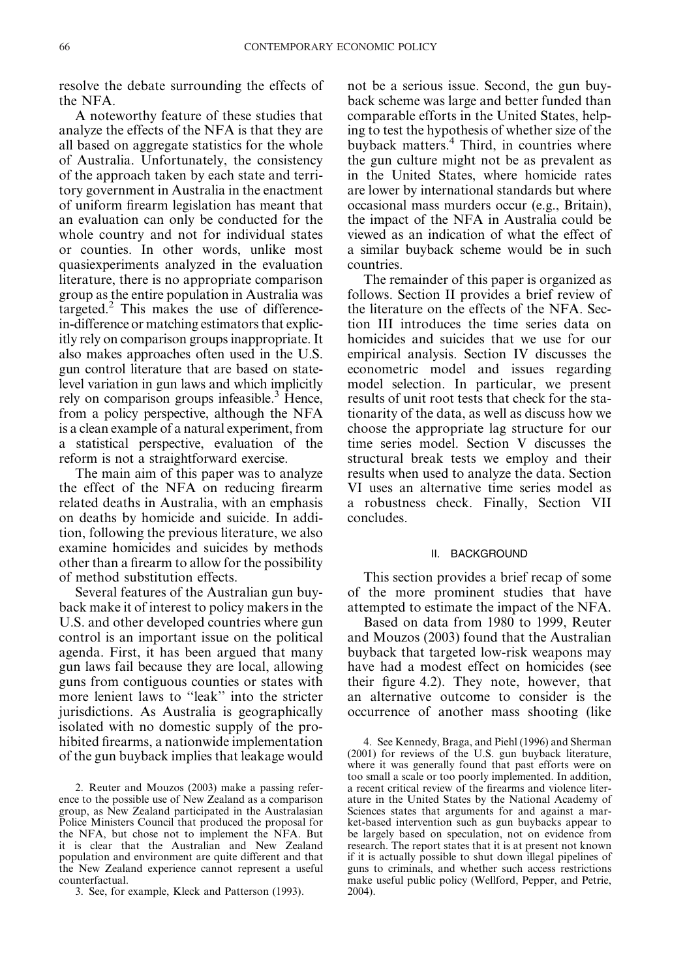resolve the debate surrounding the effects of the NFA.

A noteworthy feature of these studies that analyze the effects of the NFA is that they are all based on aggregate statistics for the whole of Australia. Unfortunately, the consistency of the approach taken by each state and territory government in Australia in the enactment of uniform firearm legislation has meant that an evaluation can only be conducted for the whole country and not for individual states or counties. In other words, unlike most quasiexperiments analyzed in the evaluation literature, there is no appropriate comparison group as the entire population in Australia was targeted.<sup>2</sup> This makes the use of differencein-difference or matching estimators that explicitly rely on comparison groups inappropriate. It also makes approaches often used in the U.S. gun control literature that are based on statelevel variation in gun laws and which implicitly rely on comparison groups infeasible.<sup>3</sup> Hence, from a policy perspective, although the NFA is a clean example of a natural experiment, from a statistical perspective, evaluation of the reform is not a straightforward exercise.

The main aim of this paper was to analyze the effect of the NFA on reducing firearm related deaths in Australia, with an emphasis on deaths by homicide and suicide. In addition, following the previous literature, we also examine homicides and suicides by methods other than a firearm to allow for the possibility of method substitution effects.

Several features of the Australian gun buyback make it of interest to policy makers in the U.S. and other developed countries where gun control is an important issue on the political agenda. First, it has been argued that many gun laws fail because they are local, allowing guns from contiguous counties or states with more lenient laws to ''leak'' into the stricter jurisdictions. As Australia is geographically isolated with no domestic supply of the prohibited firearms, a nationwide implementation of the gun buyback implies that leakage would

not be a serious issue. Second, the gun buyback scheme was large and better funded than comparable efforts in the United States, helping to test the hypothesis of whether size of the buyback matters.<sup>4</sup> Third, in countries where the gun culture might not be as prevalent as in the United States, where homicide rates are lower by international standards but where occasional mass murders occur (e.g., Britain), the impact of the NFA in Australia could be viewed as an indication of what the effect of a similar buyback scheme would be in such countries.

The remainder of this paper is organized as follows. Section II provides a brief review of the literature on the effects of the NFA. Section III introduces the time series data on homicides and suicides that we use for our empirical analysis. Section IV discusses the econometric model and issues regarding model selection. In particular, we present results of unit root tests that check for the stationarity of the data, as well as discuss how we choose the appropriate lag structure for our time series model. Section V discusses the structural break tests we employ and their results when used to analyze the data. Section VI uses an alternative time series model as a robustness check. Finally, Section VII concludes.

#### II. BACKGROUND

This section provides a brief recap of some of the more prominent studies that have attempted to estimate the impact of the NFA.

Based on data from 1980 to 1999, Reuter and Mouzos (2003) found that the Australian buyback that targeted low-risk weapons may have had a modest effect on homicides (see their figure 4.2). They note, however, that an alternative outcome to consider is the occurrence of another mass shooting (like

<sup>2.</sup> Reuter and Mouzos (2003) make a passing reference to the possible use of New Zealand as a comparison group, as New Zealand participated in the Australasian Police Ministers Council that produced the proposal for the NFA, but chose not to implement the NFA. But it is clear that the Australian and New Zealand population and environment are quite different and that the New Zealand experience cannot represent a useful counterfactual.

<sup>3.</sup> See, for example, Kleck and Patterson (1993).

<sup>4.</sup> See Kennedy, Braga, and Piehl (1996) and Sherman (2001) for reviews of the U.S. gun buyback literature, where it was generally found that past efforts were on too small a scale or too poorly implemented. In addition, a recent critical review of the firearms and violence literature in the United States by the National Academy of Sciences states that arguments for and against a market-based intervention such as gun buybacks appear to be largely based on speculation, not on evidence from research. The report states that it is at present not known if it is actually possible to shut down illegal pipelines of guns to criminals, and whether such access restrictions make useful public policy (Wellford, Pepper, and Petrie, 2004).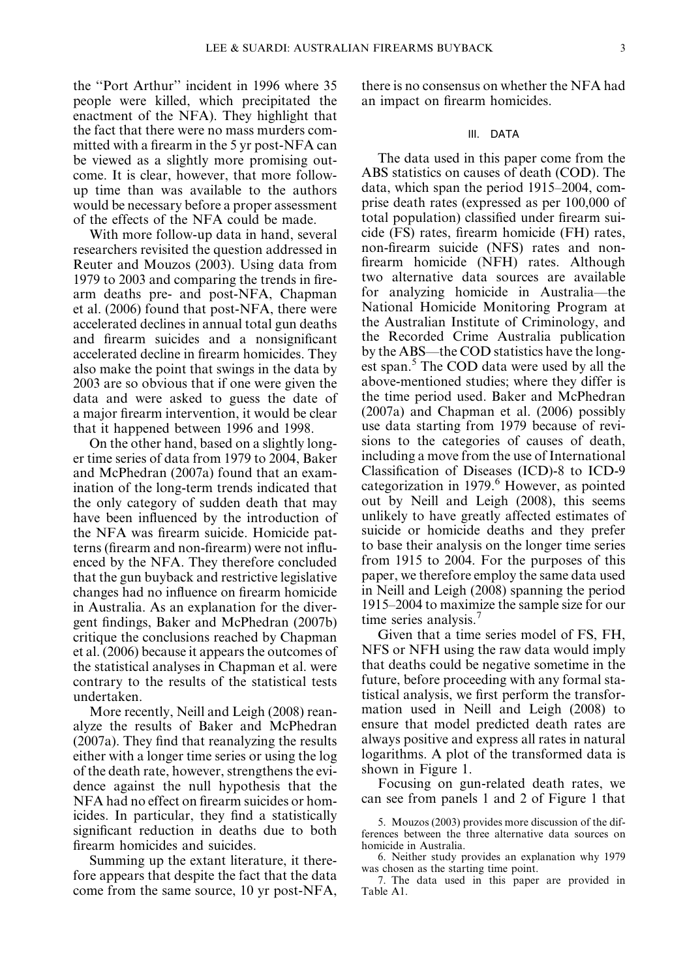the ''Port Arthur'' incident in 1996 where 35 people were killed, which precipitated the enactment of the NFA). They highlight that the fact that there were no mass murders committed with a firearm in the 5 yr post-NFA can be viewed as a slightly more promising outcome. It is clear, however, that more followup time than was available to the authors would be necessary before a proper assessment of the effects of the NFA could be made.

With more follow-up data in hand, several researchers revisited the question addressed in Reuter and Mouzos (2003). Using data from 1979 to 2003 and comparing the trends in firearm deaths pre- and post-NFA, Chapman et al. (2006) found that post-NFA, there were accelerated declines in annual total gun deaths and firearm suicides and a nonsignificant accelerated decline in firearm homicides. They also make the point that swings in the data by 2003 are so obvious that if one were given the data and were asked to guess the date of a major firearm intervention, it would be clear that it happened between 1996 and 1998.

On the other hand, based on a slightly longer time series of data from 1979 to 2004, Baker and McPhedran (2007a) found that an examination of the long-term trends indicated that the only category of sudden death that may have been influenced by the introduction of the NFA was firearm suicide. Homicide patterns (firearm and non-firearm) were not influenced by the NFA. They therefore concluded that the gun buyback and restrictive legislative changes had no influence on firearm homicide in Australia. As an explanation for the divergent findings, Baker and McPhedran (2007b) critique the conclusions reached by Chapman et al. (2006) because it appears the outcomes of the statistical analyses in Chapman et al. were contrary to the results of the statistical tests undertaken.

More recently, Neill and Leigh (2008) reanalyze the results of Baker and McPhedran (2007a). They find that reanalyzing the results either with a longer time series or using the log of the death rate, however, strengthens the evidence against the null hypothesis that the NFA had no effect on firearm suicides or homicides. In particular, they find a statistically significant reduction in deaths due to both firearm homicides and suicides.

Summing up the extant literature, it therefore appears that despite the fact that the data come from the same source, 10 yr post-NFA, there is no consensus on whether the NFA had an impact on firearm homicides.

#### III. DATA

The data used in this paper come from the ABS statistics on causes of death (COD). The data, which span the period 1915–2004, comprise death rates (expressed as per 100,000 of total population) classified under firearm suicide (FS) rates, firearm homicide (FH) rates, non-firearm suicide (NFS) rates and nonfirearm homicide (NFH) rates. Although two alternative data sources are available for analyzing homicide in Australia—the National Homicide Monitoring Program at the Australian Institute of Criminology, and the Recorded Crime Australia publication by the ABS—the COD statistics have the longest span.<sup>5</sup> The COD data were used by all the above-mentioned studies; where they differ is the time period used. Baker and McPhedran (2007a) and Chapman et al. (2006) possibly use data starting from 1979 because of revisions to the categories of causes of death, including a move from the use of International Classification of Diseases (ICD)-8 to ICD-9 categorization in 1979.<sup>6</sup> However, as pointed out by Neill and Leigh (2008), this seems unlikely to have greatly affected estimates of suicide or homicide deaths and they prefer to base their analysis on the longer time series from 1915 to 2004. For the purposes of this paper, we therefore employ the same data used in Neill and Leigh (2008) spanning the period 1915–2004 to maximize the sample size for our time series analysis.

Given that a time series model of FS, FH, NFS or NFH using the raw data would imply that deaths could be negative sometime in the future, before proceeding with any formal statistical analysis, we first perform the transformation used in Neill and Leigh (2008) to ensure that model predicted death rates are always positive and express all rates in natural logarithms. A plot of the transformed data is shown in Figure 1.

Focusing on gun-related death rates, we can see from panels 1 and 2 of Figure 1 that

7. The data used in this paper are provided in Table A1.

<sup>5.</sup> Mouzos (2003) provides more discussion of the differences between the three alternative data sources on homicide in Australia.

<sup>6.</sup> Neither study provides an explanation why 1979 was chosen as the starting time point.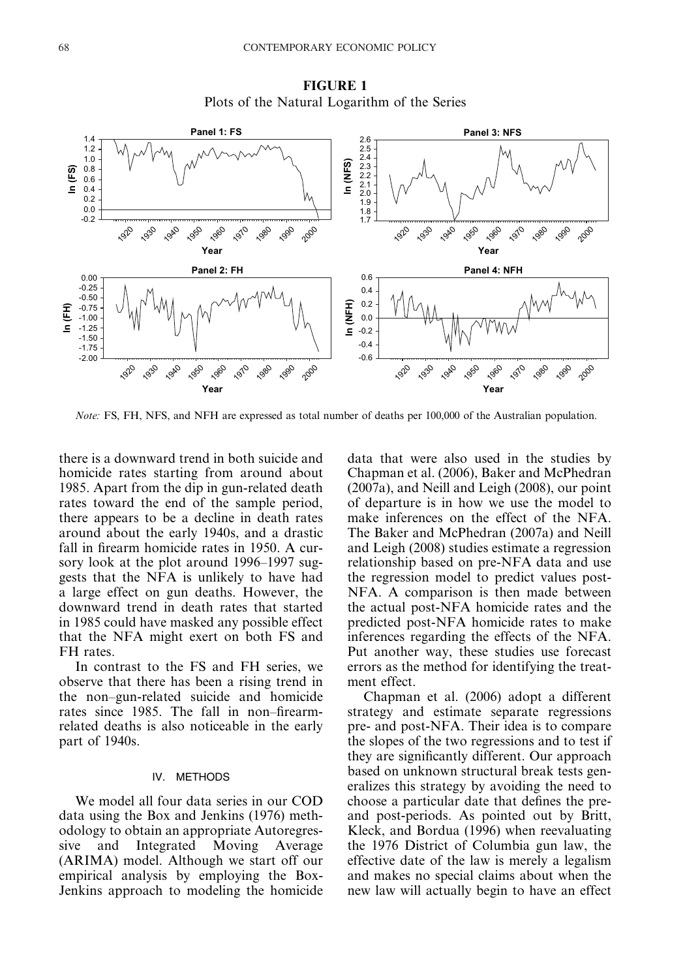

FIGURE 1 Plots of the Natural Logarithm of the Series

Note: FS, FH, NFS, and NFH are expressed as total number of deaths per 100,000 of the Australian population.

there is a downward trend in both suicide and homicide rates starting from around about 1985. Apart from the dip in gun-related death rates toward the end of the sample period, there appears to be a decline in death rates around about the early 1940s, and a drastic fall in firearm homicide rates in 1950. A cursory look at the plot around 1996–1997 suggests that the NFA is unlikely to have had a large effect on gun deaths. However, the downward trend in death rates that started in 1985 could have masked any possible effect that the NFA might exert on both FS and FH rates.

In contrast to the FS and FH series, we observe that there has been a rising trend in the non–gun-related suicide and homicide rates since 1985. The fall in non–firearmrelated deaths is also noticeable in the early part of 1940s.

## IV. METHODS

We model all four data series in our COD data using the Box and Jenkins (1976) methodology to obtain an appropriate Autoregressive and Integrated Moving Average (ARIMA) model. Although we start off our empirical analysis by employing the Box-Jenkins approach to modeling the homicide data that were also used in the studies by Chapman et al. (2006), Baker and McPhedran (2007a), and Neill and Leigh (2008), our point of departure is in how we use the model to make inferences on the effect of the NFA. The Baker and McPhedran (2007a) and Neill and Leigh (2008) studies estimate a regression relationship based on pre-NFA data and use the regression model to predict values post-NFA. A comparison is then made between the actual post-NFA homicide rates and the predicted post-NFA homicide rates to make inferences regarding the effects of the NFA. Put another way, these studies use forecast errors as the method for identifying the treatment effect.

Chapman et al. (2006) adopt a different strategy and estimate separate regressions pre- and post-NFA. Their idea is to compare the slopes of the two regressions and to test if they are significantly different. Our approach based on unknown structural break tests generalizes this strategy by avoiding the need to choose a particular date that defines the preand post-periods. As pointed out by Britt, Kleck, and Bordua (1996) when reevaluating the 1976 District of Columbia gun law, the effective date of the law is merely a legalism and makes no special claims about when the new law will actually begin to have an effect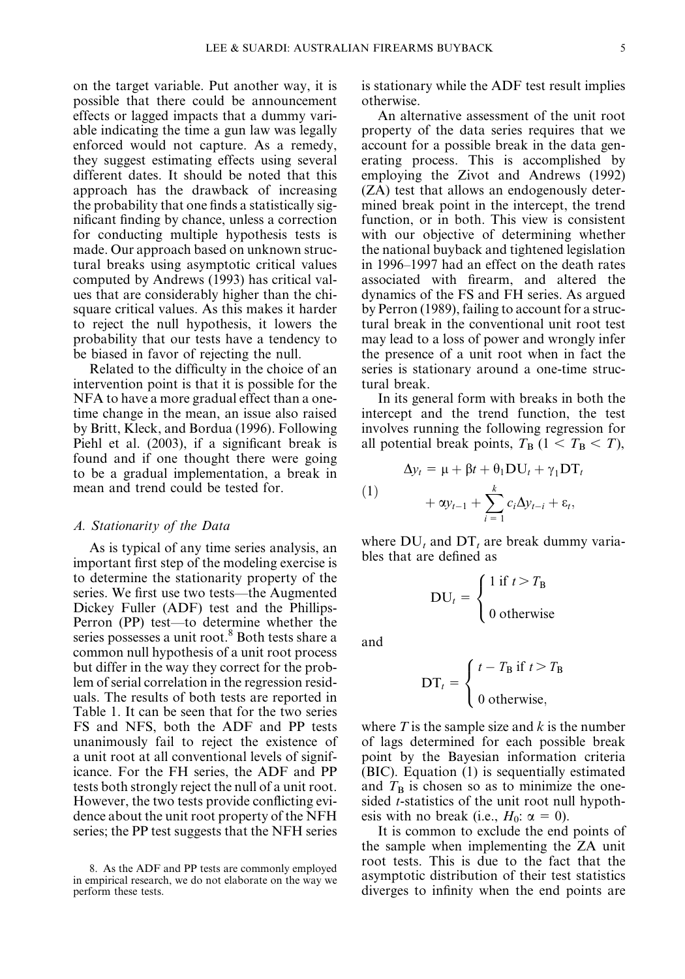on the target variable. Put another way, it is possible that there could be announcement effects or lagged impacts that a dummy variable indicating the time a gun law was legally enforced would not capture. As a remedy, they suggest estimating effects using several different dates. It should be noted that this approach has the drawback of increasing the probability that one finds a statistically significant finding by chance, unless a correction for conducting multiple hypothesis tests is made. Our approach based on unknown structural breaks using asymptotic critical values computed by Andrews (1993) has critical values that are considerably higher than the chisquare critical values. As this makes it harder to reject the null hypothesis, it lowers the probability that our tests have a tendency to be biased in favor of rejecting the null.

Related to the difficulty in the choice of an intervention point is that it is possible for the NFA to have a more gradual effect than a onetime change in the mean, an issue also raised by Britt, Kleck, and Bordua (1996). Following Piehl et al. (2003), if a significant break is found and if one thought there were going to be a gradual implementation, a break in mean and trend could be tested for.

## A. Stationarity of the Data

As is typical of any time series analysis, an important first step of the modeling exercise is to determine the stationarity property of the series. We first use two tests—the Augmented Dickey Fuller (ADF) test and the Phillips-Perron (PP) test—to determine whether the series possesses a unit root.<sup>8</sup> Both tests share a common null hypothesis of a unit root process but differ in the way they correct for the problem of serial correlation in the regression residuals. The results of both tests are reported in Table 1. It can be seen that for the two series FS and NFS, both the ADF and PP tests unanimously fail to reject the existence of a unit root at all conventional levels of significance. For the FH series, the ADF and PP tests both strongly reject the null of a unit root. However, the two tests provide conflicting evidence about the unit root property of the NFH series; the PP test suggests that the NFH series

is stationary while the ADF test result implies otherwise.

An alternative assessment of the unit root property of the data series requires that we account for a possible break in the data generating process. This is accomplished by employing the Zivot and Andrews (1992) (ZA) test that allows an endogenously determined break point in the intercept, the trend function, or in both. This view is consistent with our objective of determining whether the national buyback and tightened legislation in 1996–1997 had an effect on the death rates associated with firearm, and altered the dynamics of the FS and FH series. As argued by Perron (1989), failing to account for a structural break in the conventional unit root test may lead to a loss of power and wrongly infer the presence of a unit root when in fact the series is stationary around a one-time structural break.

In its general form with breaks in both the intercept and the trend function, the test involves running the following regression for all potential break points,  $T_B$  (1 <  $T_B$  < T),

$$
\Delta y_t = \mu + \beta t + \theta_1 \mathbf{D} \mathbf{U}_t + \gamma_1 \mathbf{D} \mathbf{T}_t
$$
  
(1)  

$$
+ \alpha y_{t-1} + \sum_{i=1}^k c_i \Delta y_{t-i} + \varepsilon_t,
$$

where  $DU_t$  and  $DT_t$  are break dummy variables that are defined as

$$
DU_t = \begin{cases} 1 \text{ if } t > T_B \\ 0 \text{ otherwise} \end{cases}
$$

and

$$
DT_t = \begin{cases} t - T_{\text{B}} & \text{if } t > T_{\text{B}} \\ 0 & \text{otherwise,} \end{cases}
$$

where  $T$  is the sample size and  $k$  is the number of lags determined for each possible break point by the Bayesian information criteria (BIC). Equation (1) is sequentially estimated and  $T<sub>B</sub>$  is chosen so as to minimize the onesided *t*-statistics of the unit root null hypothesis with no break (i.e.,  $H_0$ :  $\alpha = 0$ ).

It is common to exclude the end points of the sample when implementing the ZA unit root tests. This is due to the fact that the asymptotic distribution of their test statistics diverges to infinity when the end points are

<sup>8.</sup> As the ADF and PP tests are commonly employed in empirical research, we do not elaborate on the way we perform these tests.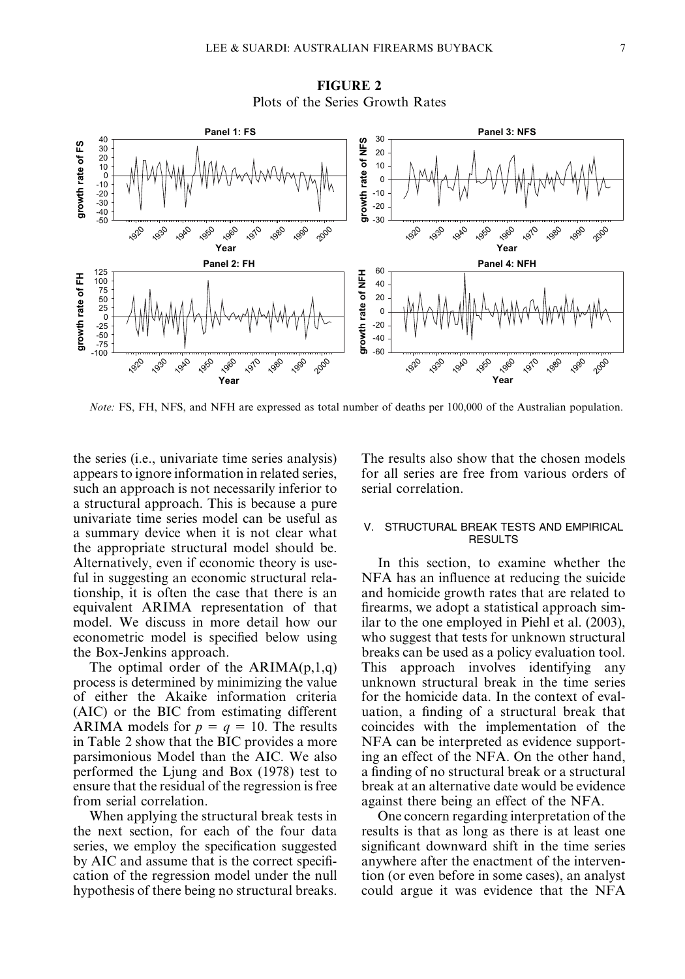

FIGURE 2 Plots of the Series Growth Rates

Note: FS, FH, NFS, and NFH are expressed as total number of deaths per 100,000 of the Australian population.

the series (i.e., univariate time series analysis) appears to ignore information in related series, such an approach is not necessarily inferior to a structural approach. This is because a pure univariate time series model can be useful as a summary device when it is not clear what the appropriate structural model should be. Alternatively, even if economic theory is useful in suggesting an economic structural relationship, it is often the case that there is an equivalent ARIMA representation of that model. We discuss in more detail how our econometric model is specified below using the Box-Jenkins approach.

The optimal order of the  $ARIMA(p,1,q)$ process is determined by minimizing the value of either the Akaike information criteria (AIC) or the BIC from estimating different ARIMA models for  $p = q = 10$ . The results in Table 2 show that the BIC provides a more parsimonious Model than the AIC. We also performed the Ljung and Box (1978) test to ensure that the residual of the regression is free from serial correlation.

When applying the structural break tests in the next section, for each of the four data series, we employ the specification suggested by AIC and assume that is the correct specification of the regression model under the null hypothesis of there being no structural breaks. The results also show that the chosen models for all series are free from various orders of serial correlation.

#### V. STRUCTURAL BREAK TESTS AND EMPIRICAL RESULTS

In this section, to examine whether the NFA has an influence at reducing the suicide and homicide growth rates that are related to firearms, we adopt a statistical approach similar to the one employed in Piehl et al. (2003), who suggest that tests for unknown structural breaks can be used as a policy evaluation tool. This approach involves identifying any unknown structural break in the time series for the homicide data. In the context of evaluation, a finding of a structural break that coincides with the implementation of the NFA can be interpreted as evidence supporting an effect of the NFA. On the other hand, a finding of no structural break or a structural break at an alternative date would be evidence against there being an effect of the NFA.

One concern regarding interpretation of the results is that as long as there is at least one significant downward shift in the time series anywhere after the enactment of the intervention (or even before in some cases), an analyst could argue it was evidence that the NFA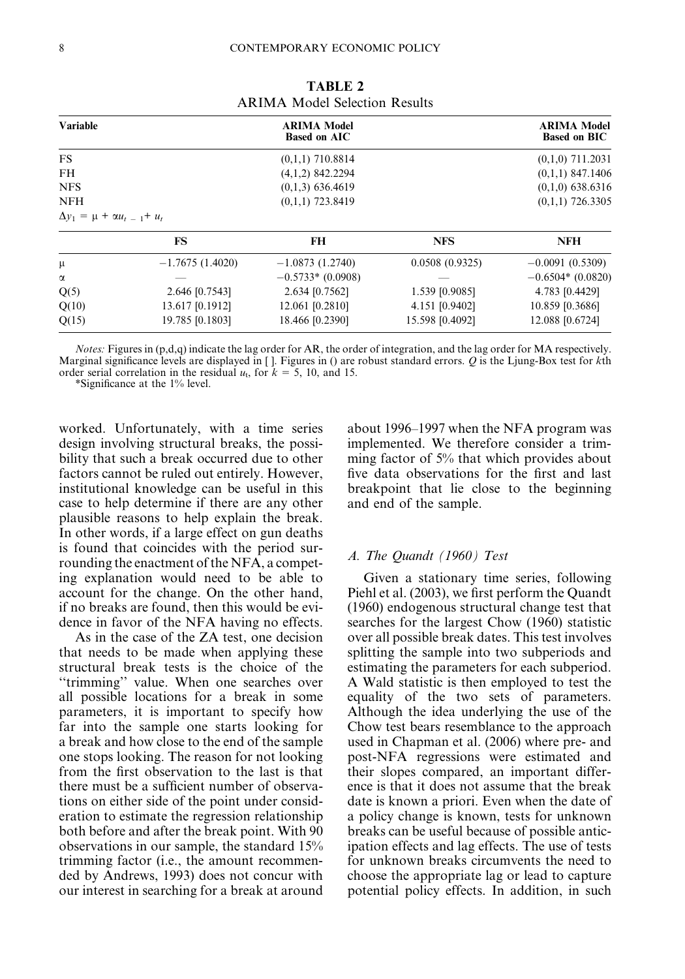| <b>Variable</b>                           |                   | <b>ARIMA Model</b><br><b>Based on AIC</b> |                 | <b>ARIMA Model</b><br><b>Based on BIC</b> |
|-------------------------------------------|-------------------|-------------------------------------------|-----------------|-------------------------------------------|
| <b>FS</b>                                 |                   | $(0,1,1)$ 710.8814                        |                 | $(0,1,0)$ 711.2031                        |
| FH.                                       |                   | $(4,1,2)$ 842.2294                        |                 | $(0,1,1)$ 847.1406                        |
| <b>NFS</b>                                |                   | $(0,1,3)$ 636.4619                        |                 | $(0,1,0)$ 638.6316                        |
| <b>NFH</b>                                |                   | $(0,1,1)$ 723.8419                        |                 | $(0,1,1)$ 726.3305                        |
| $\Delta y_1 = \mu + \alpha u_{t-1} + u_t$ |                   |                                           |                 |                                           |
|                                           | FS                | <b>FH</b>                                 | <b>NFS</b>      | <b>NFH</b>                                |
| $\mu$                                     | $-1.7675(1.4020)$ | $-1.0873(1.2740)$                         | 0.0508(0.9325)  | $-0.0091(0.5309)$                         |
| $\alpha$                                  |                   | $-0.5733*(0.0908)$                        |                 | $-0.6504*(0.0820)$                        |
| Q(5)                                      | 2.646 [0.7543]    | 2.634 [0.7562]                            | 1.539 [0.9085]  | 4.783 [0.4429]                            |
| Q(10)                                     | 13.617 [0.1912]   | 12.061 [0.2810]                           | 4.151 [0.9402]  | 10.859 [0.3686]                           |
| Q(15)                                     | 19.785 [0.1803]   | 18.466 [0.2390]                           | 15.598 [0.4092] | 12.088 [0.6724]                           |

TABLE 2 ARIMA Model Selection Results

Notes: Figures in (p,d,q) indicate the lag order for AR, the order of integration, and the lag order for MA respectively. Marginal significance levels are displayed in []. Figures in () are robust standard errors. Q is the Ljung-Box test for kth order serial correlation in the residual  $u_t$ , for  $k = 5$ , 10, and 15.

\*Significance at the 1% level.

worked. Unfortunately, with a time series design involving structural breaks, the possibility that such a break occurred due to other factors cannot be ruled out entirely. However, institutional knowledge can be useful in this case to help determine if there are any other plausible reasons to help explain the break. In other words, if a large effect on gun deaths is found that coincides with the period surrounding the enactment of the NFA, a competing explanation would need to be able to account for the change. On the other hand, if no breaks are found, then this would be evidence in favor of the NFA having no effects.

As in the case of the ZA test, one decision that needs to be made when applying these structural break tests is the choice of the ''trimming'' value. When one searches over all possible locations for a break in some parameters, it is important to specify how far into the sample one starts looking for a break and how close to the end of the sample one stops looking. The reason for not looking from the first observation to the last is that there must be a sufficient number of observations on either side of the point under consideration to estimate the regression relationship both before and after the break point. With 90 observations in our sample, the standard 15% trimming factor (i.e., the amount recommended by Andrews, 1993) does not concur with our interest in searching for a break at around

about 1996–1997 when the NFA program was implemented. We therefore consider a trimming factor of 5% that which provides about five data observations for the first and last breakpoint that lie close to the beginning and end of the sample.

## A. The Quandt (1960) Test

Given a stationary time series, following Piehl et al. (2003), we first perform the Quandt (1960) endogenous structural change test that searches for the largest Chow (1960) statistic over all possible break dates. This test involves splitting the sample into two subperiods and estimating the parameters for each subperiod. A Wald statistic is then employed to test the equality of the two sets of parameters. Although the idea underlying the use of the Chow test bears resemblance to the approach used in Chapman et al. (2006) where pre- and post-NFA regressions were estimated and their slopes compared, an important difference is that it does not assume that the break date is known a priori. Even when the date of a policy change is known, tests for unknown breaks can be useful because of possible anticipation effects and lag effects. The use of tests for unknown breaks circumvents the need to choose the appropriate lag or lead to capture potential policy effects. In addition, in such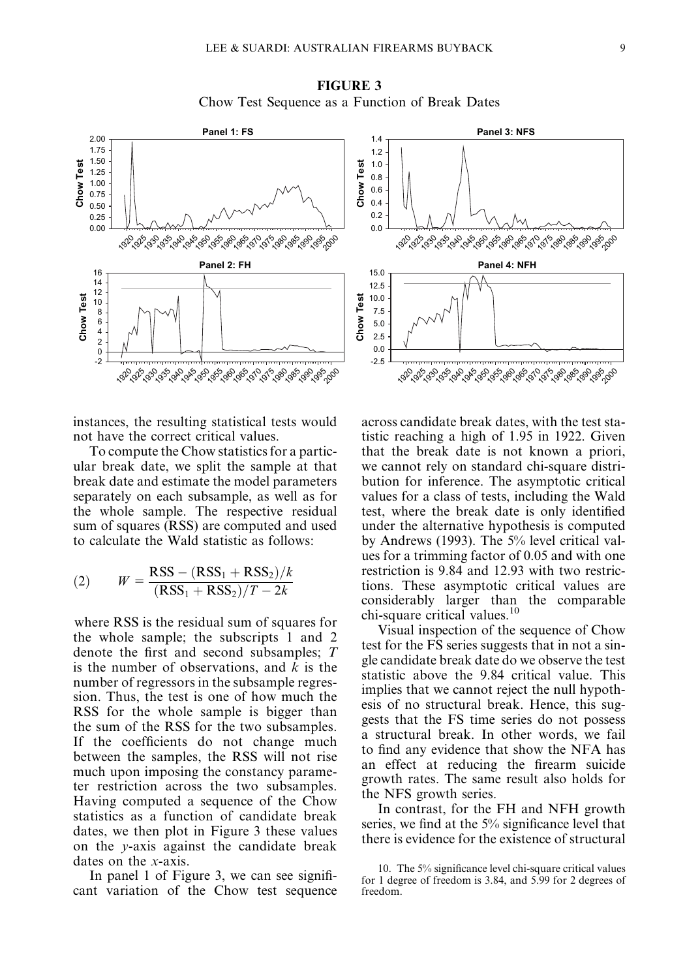

instances, the resulting statistical tests would not have the correct critical values.

To compute the Chow statistics for a particular break date, we split the sample at that break date and estimate the model parameters separately on each subsample, as well as for the whole sample. The respective residual sum of squares (RSS) are computed and used to calculate the Wald statistic as follows:

$$
(2) \qquad W = \frac{\text{RSS} - (\text{RSS}_1 + \text{RSS}_2)/k}{(\text{RSS}_1 + \text{RSS}_2)/T - 2k}
$$

where RSS is the residual sum of squares for the whole sample; the subscripts 1 and 2 denote the first and second subsamples; T is the number of observations, and  $k$  is the number of regressors in the subsample regression. Thus, the test is one of how much the RSS for the whole sample is bigger than the sum of the RSS for the two subsamples. If the coefficients do not change much between the samples, the RSS will not rise much upon imposing the constancy parameter restriction across the two subsamples. Having computed a sequence of the Chow statistics as a function of candidate break dates, we then plot in Figure 3 these values on the y-axis against the candidate break dates on the x-axis.

In panel 1 of Figure 3, we can see significant variation of the Chow test sequence



across candidate break dates, with the test statistic reaching a high of 1.95 in 1922. Given that the break date is not known a priori, we cannot rely on standard chi-square distribution for inference. The asymptotic critical values for a class of tests, including the Wald test, where the break date is only identified under the alternative hypothesis is computed by Andrews (1993). The 5% level critical values for a trimming factor of 0.05 and with one restriction is 9.84 and 12.93 with two restrictions. These asymptotic critical values are considerably larger than the comparable chi-square critical values.<sup>10</sup>

Visual inspection of the sequence of Chow test for the FS series suggests that in not a single candidate break date do we observe the test statistic above the 9.84 critical value. This implies that we cannot reject the null hypothesis of no structural break. Hence, this suggests that the FS time series do not possess a structural break. In other words, we fail to find any evidence that show the NFA has an effect at reducing the firearm suicide growth rates. The same result also holds for the NFS growth series.

In contrast, for the FH and NFH growth series, we find at the 5% significance level that there is evidence for the existence of structural

<sup>10.</sup> The 5% significance level chi-square critical values for 1 degree of freedom is 3.84, and 5.99 for 2 degrees of freedom.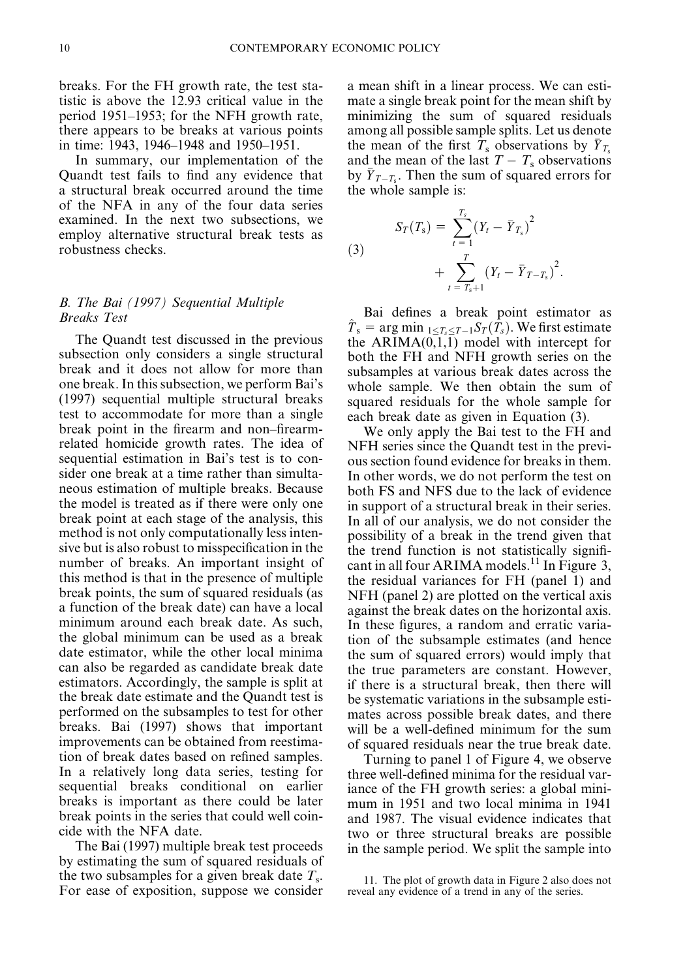breaks. For the FH growth rate, the test statistic is above the 12.93 critical value in the period 1951–1953; for the NFH growth rate, there appears to be breaks at various points in time: 1943, 1946–1948 and 1950–1951.

In summary, our implementation of the Quandt test fails to find any evidence that a structural break occurred around the time of the NFA in any of the four data series examined. In the next two subsections, we employ alternative structural break tests as robustness checks.

# B. The Bai (1997) Sequential Multiple Breaks Test

The Quandt test discussed in the previous subsection only considers a single structural break and it does not allow for more than one break. In this subsection, we perform Bai's (1997) sequential multiple structural breaks test to accommodate for more than a single break point in the firearm and non–firearmrelated homicide growth rates. The idea of sequential estimation in Bai's test is to consider one break at a time rather than simultaneous estimation of multiple breaks. Because the model is treated as if there were only one break point at each stage of the analysis, this method is not only computationally less intensive but is also robust to misspecification in the number of breaks. An important insight of this method is that in the presence of multiple break points, the sum of squared residuals (as a function of the break date) can have a local minimum around each break date. As such, the global minimum can be used as a break date estimator, while the other local minima can also be regarded as candidate break date estimators. Accordingly, the sample is split at the break date estimate and the Quandt test is performed on the subsamples to test for other breaks. Bai (1997) shows that important improvements can be obtained from reestimation of break dates based on refined samples. In a relatively long data series, testing for sequential breaks conditional on earlier breaks is important as there could be later break points in the series that could well coincide with the NFA date.

The Bai (1997) multiple break test proceeds by estimating the sum of squared residuals of the two subsamples for a given break date  $T_s$ . For ease of exposition, suppose we consider

a mean shift in a linear process. We can estimate a single break point for the mean shift by minimizing the sum of squared residuals among all possible sample splits. Let us denote the mean of the first  $T_s$  observations by  $\bar{Y}_{T_s}$ and the mean of the last  $T - T<sub>s</sub>$  observations by  $\overline{Y}_{T-T_s}$ . Then the sum of squared errors for the whole sample is:

(3) 
$$
S_T(T_s) = \sum_{t=1}^{T_s} (Y_t - \bar{Y}_{T_s})^2 + \sum_{t=T_s+1}^{T} (Y_t - \bar{Y}_{T-T_s})^2.
$$

Bai defines a break point estimator as  $\hat{T}_s$  = arg min  $\sum_{1 \leq T_s \leq T-1} S_T(\hat{T}_s)$ . We first estimate the ARIMA(0,1,1) model with intercept for both the FH and NFH growth series on the subsamples at various break dates across the whole sample. We then obtain the sum of squared residuals for the whole sample for each break date as given in Equation (3).

We only apply the Bai test to the FH and NFH series since the Quandt test in the previous section found evidence for breaks in them. In other words, we do not perform the test on both FS and NFS due to the lack of evidence in support of a structural break in their series. In all of our analysis, we do not consider the possibility of a break in the trend given that the trend function is not statistically significant in all four ARIMA models.<sup>11</sup> In Figure 3, the residual variances for FH (panel 1) and NFH (panel 2) are plotted on the vertical axis against the break dates on the horizontal axis. In these figures, a random and erratic variation of the subsample estimates (and hence the sum of squared errors) would imply that the true parameters are constant. However, if there is a structural break, then there will be systematic variations in the subsample estimates across possible break dates, and there will be a well-defined minimum for the sum of squared residuals near the true break date.

Turning to panel 1 of Figure 4, we observe three well-defined minima for the residual variance of the FH growth series: a global minimum in 1951 and two local minima in 1941 and 1987. The visual evidence indicates that two or three structural breaks are possible in the sample period. We split the sample into

<sup>11.</sup> The plot of growth data in Figure 2 also does not reveal any evidence of a trend in any of the series.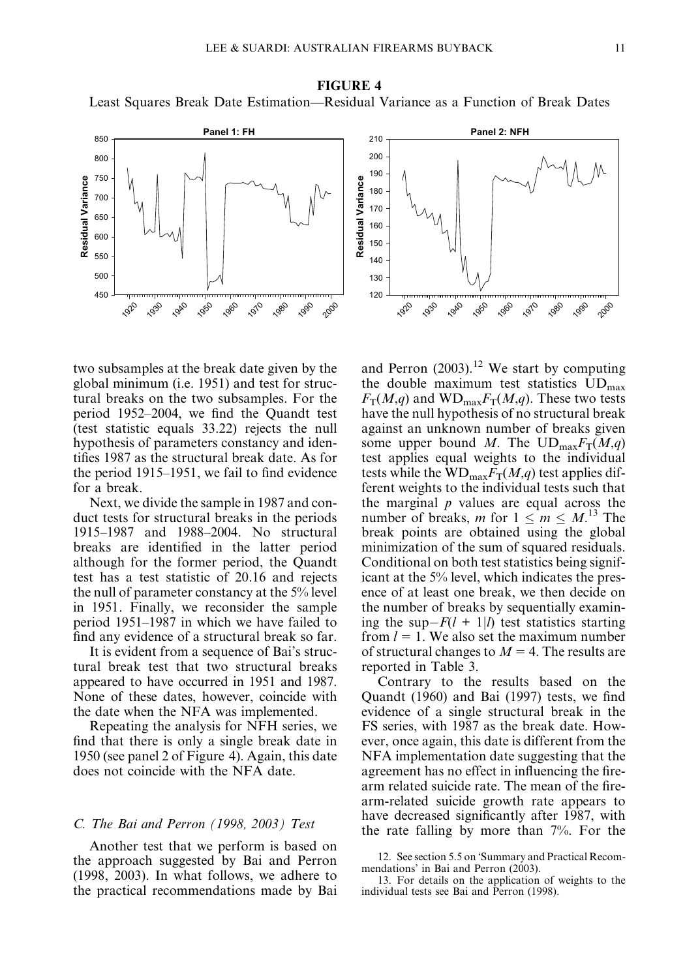FIGURE 4





two subsamples at the break date given by the global minimum (i.e. 1951) and test for structural breaks on the two subsamples. For the period 1952–2004, we find the Quandt test (test statistic equals 33.22) rejects the null hypothesis of parameters constancy and identifies 1987 as the structural break date. As for the period 1915–1951, we fail to find evidence for a break.

Next, we divide the sample in 1987 and conduct tests for structural breaks in the periods 1915–1987 and 1988–2004. No structural breaks are identified in the latter period although for the former period, the Quandt test has a test statistic of 20.16 and rejects the null of parameter constancy at the 5% level in 1951. Finally, we reconsider the sample period 1951–1987 in which we have failed to find any evidence of a structural break so far.

It is evident from a sequence of Bai's structural break test that two structural breaks appeared to have occurred in 1951 and 1987. None of these dates, however, coincide with the date when the NFA was implemented.

Repeating the analysis for NFH series, we find that there is only a single break date in 1950 (see panel 2 of Figure 4). Again, this date does not coincide with the NFA date.

## C. The Bai and Perron (1998, 2003) Test

Another test that we perform is based on the approach suggested by Bai and Perron (1998, 2003). In what follows, we adhere to the practical recommendations made by Bai



and Perron  $(2003).<sup>12</sup>$  We start by computing the double maximum test statistics  $UD_{max}$  $F_T(M,q)$  and  $WD_{max}F_T(M,q)$ . These two tests have the null hypothesis of no structural break against an unknown number of breaks given some upper bound M. The  $UD_{max}F_T(M,q)$ test applies equal weights to the individual tests while the  $WD_{max}F_{T}(M,q)$  test applies different weights to the individual tests such that the marginal  $p$  values are equal across the number of breaks, m for  $1 \leq m \leq M$ .<sup>13</sup> The break points are obtained using the global minimization of the sum of squared residuals. Conditional on both test statistics being significant at the 5% level, which indicates the presence of at least one break, we then decide on the number of breaks by sequentially examining the sup– $F(l + 1|l)$  test statistics starting from  $l = 1$ . We also set the maximum number of structural changes to  $M = 4$ . The results are reported in Table 3.

Contrary to the results based on the Quandt (1960) and Bai (1997) tests, we find evidence of a single structural break in the FS series, with 1987 as the break date. However, once again, this date is different from the NFA implementation date suggesting that the agreement has no effect in influencing the firearm related suicide rate. The mean of the firearm-related suicide growth rate appears to have decreased significantly after 1987, with the rate falling by more than 7%. For the

12. See section 5.5 on 'Summary and Practical Recommendations' in Bai and Perron (2003).

13. For details on the application of weights to the individual tests see Bai and Perron (1998).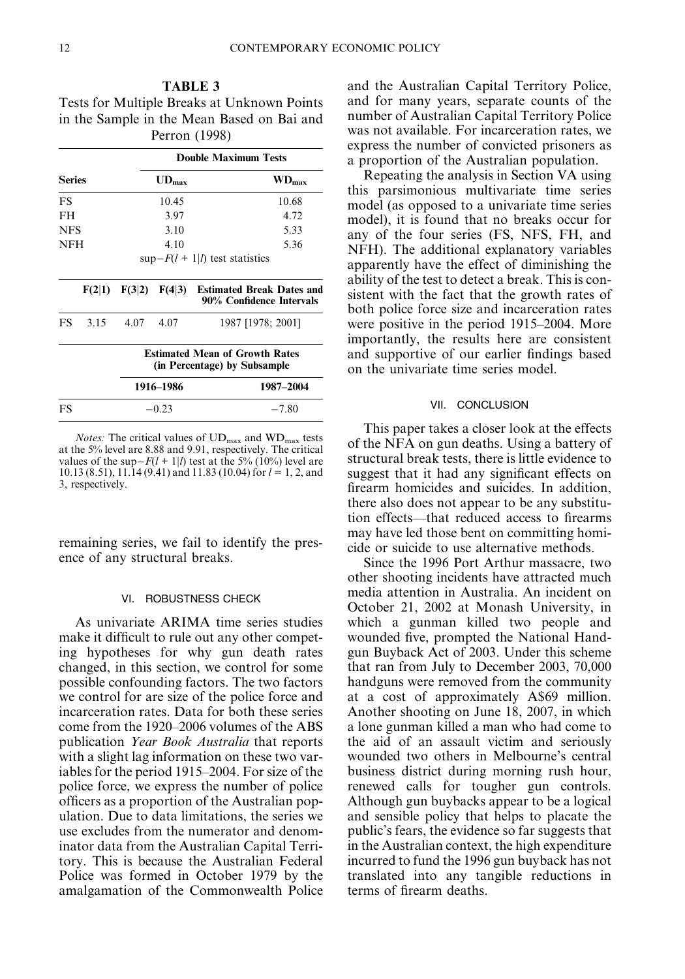|               |                             |            | Perron (1998)                                                         |  |  |
|---------------|-----------------------------|------------|-----------------------------------------------------------------------|--|--|
|               | <b>Double Maximum Tests</b> |            |                                                                       |  |  |
| <b>Series</b> |                             | $UD_{max}$ | $WD_{max}$                                                            |  |  |
|               |                             | 10.45      | 10.68                                                                 |  |  |
|               |                             | 3.97       | 4.72                                                                  |  |  |
|               |                             | 3.10       | 5.33                                                                  |  |  |
|               |                             | 4.10       | 5.36                                                                  |  |  |
|               |                             |            | $\sup$ - <i>F</i> ( <i>l</i> + 1  <i>l</i> ) test statistics          |  |  |
| F(2 1)        |                             | F(4 3)     | <b>Estimated Break Dates and</b><br>90% Confidence Intervals          |  |  |
| 3.15          | 4.07                        | 4.07       | 1987 [1978; 2001]                                                     |  |  |
|               |                             |            | <b>Estimated Mean of Growth Rates</b><br>(in Percentage) by Subsample |  |  |
|               | 1916–1986                   |            | 1987-2004                                                             |  |  |
|               | $-0.23$                     |            | $-7.80$                                                               |  |  |
|               | <b>NFS</b><br><b>NFH</b>    |            | F(3 2)                                                                |  |  |

TABLE 3 Tests for Multiple Breaks at Unknown Points in the Sample in the Mean Based on Bai and

*Notes:* The critical values of  $UD_{max}$  and  $WD_{max}$  tests at the 5% level are 8.88 and 9.91, respectively. The critical values of the sup– $F(l + 1|l)$  test at the 5% (10%) level are 10.13 (8.51), 11.14 (9.41) and 11.83 (10.04) for  $l = 1, 2$ , and 3, respectively.

remaining series, we fail to identify the presence of any structural breaks.

#### VI. ROBUSTNESS CHECK

As univariate ARIMA time series studies make it difficult to rule out any other competing hypotheses for why gun death rates changed, in this section, we control for some possible confounding factors. The two factors we control for are size of the police force and incarceration rates. Data for both these series come from the 1920–2006 volumes of the ABS publication Year Book Australia that reports with a slight lag information on these two variables for the period 1915–2004. For size of the police force, we express the number of police officers as a proportion of the Australian population. Due to data limitations, the series we use excludes from the numerator and denominator data from the Australian Capital Territory. This is because the Australian Federal Police was formed in October 1979 by the amalgamation of the Commonwealth Police

and the Australian Capital Territory Police, and for many years, separate counts of the number of Australian Capital Territory Police was not available. For incarceration rates, we express the number of convicted prisoners as a proportion of the Australian population.

Repeating the analysis in Section VA using this parsimonious multivariate time series model (as opposed to a univariate time series model), it is found that no breaks occur for any of the four series (FS, NFS, FH, and NFH). The additional explanatory variables apparently have the effect of diminishing the ability of the test to detect a break. This is consistent with the fact that the growth rates of both police force size and incarceration rates were positive in the period 1915–2004. More importantly, the results here are consistent and supportive of our earlier findings based on the univariate time series model.

#### VII. CONCLUSION

This paper takes a closer look at the effects of the NFA on gun deaths. Using a battery of structural break tests, there is little evidence to suggest that it had any significant effects on firearm homicides and suicides. In addition, there also does not appear to be any substitution effects—that reduced access to firearms may have led those bent on committing homicide or suicide to use alternative methods.

Since the 1996 Port Arthur massacre, two other shooting incidents have attracted much media attention in Australia. An incident on October 21, 2002 at Monash University, in which a gunman killed two people and wounded five, prompted the National Handgun Buyback Act of 2003. Under this scheme that ran from July to December 2003, 70,000 handguns were removed from the community at a cost of approximately A\$69 million. Another shooting on June 18, 2007, in which a lone gunman killed a man who had come to the aid of an assault victim and seriously wounded two others in Melbourne's central business district during morning rush hour, renewed calls for tougher gun controls. Although gun buybacks appear to be a logical and sensible policy that helps to placate the public's fears, the evidence so far suggests that in the Australian context, the high expenditure incurred to fund the 1996 gun buyback has not translated into any tangible reductions in terms of firearm deaths.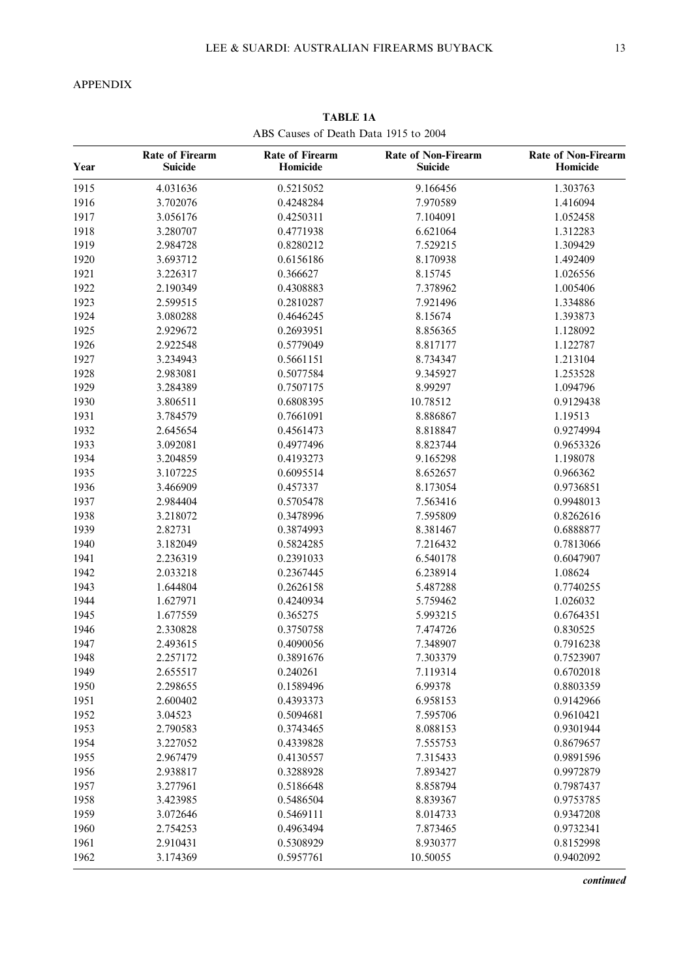# APPENDIX

| Year | <b>Rate of Firearm</b><br><b>Suicide</b> | <b>Rate of Firearm</b><br>Homicide | <b>Rate of Non-Firearm</b><br><b>Suicide</b> | <b>Rate of Non-Firearm</b><br>Homicide |
|------|------------------------------------------|------------------------------------|----------------------------------------------|----------------------------------------|
| 1915 | 4.031636                                 | 0.5215052                          | 9.166456                                     | 1.303763                               |
| 1916 | 3.702076                                 | 0.4248284                          | 7.970589                                     | 1.416094                               |
| 1917 | 3.056176                                 | 0.4250311                          | 7.104091                                     | 1.052458                               |
| 1918 | 3.280707                                 | 0.4771938                          | 6.621064                                     | 1.312283                               |
| 1919 | 2.984728                                 | 0.8280212                          | 7.529215                                     | 1.309429                               |
| 1920 | 3.693712                                 | 0.6156186                          | 8.170938                                     | 1.492409                               |
| 1921 | 3.226317                                 | 0.366627                           | 8.15745                                      | 1.026556                               |
| 1922 | 2.190349                                 | 0.4308883                          | 7.378962                                     | 1.005406                               |
| 1923 | 2.599515                                 | 0.2810287                          | 7.921496                                     | 1.334886                               |
| 1924 | 3.080288                                 | 0.4646245                          | 8.15674                                      | 1.393873                               |
| 1925 | 2.929672                                 | 0.2693951                          | 8.856365                                     | 1.128092                               |
| 1926 | 2.922548                                 | 0.5779049                          | 8.817177                                     | 1.122787                               |
| 1927 | 3.234943                                 | 0.5661151                          | 8.734347                                     | 1.213104                               |
| 1928 | 2.983081                                 | 0.5077584                          | 9.345927                                     | 1.253528                               |
| 1929 | 3.284389                                 | 0.7507175                          | 8.99297                                      | 1.094796                               |
| 1930 | 3.806511                                 | 0.6808395                          | 10.78512                                     | 0.9129438                              |
| 1931 | 3.784579                                 | 0.7661091                          | 8.886867                                     | 1.19513                                |
| 1932 | 2.645654                                 | 0.4561473                          | 8.818847                                     | 0.9274994                              |
| 1933 | 3.092081                                 | 0.4977496                          | 8.823744                                     | 0.9653326                              |
| 1934 | 3.204859                                 | 0.4193273                          | 9.165298                                     | 1.198078                               |
| 1935 | 3.107225                                 | 0.6095514                          | 8.652657                                     | 0.966362                               |
| 1936 | 3.466909                                 | 0.457337                           | 8.173054                                     | 0.9736851                              |
| 1937 | 2.984404                                 | 0.5705478                          | 7.563416                                     | 0.9948013                              |
| 1938 | 3.218072                                 | 0.3478996                          | 7.595809                                     | 0.8262616                              |
| 1939 | 2.82731                                  | 0.3874993                          | 8.381467                                     | 0.6888877                              |
| 1940 | 3.182049                                 | 0.5824285                          | 7.216432                                     | 0.7813066                              |
| 1941 | 2.236319                                 | 0.2391033                          | 6.540178                                     | 0.6047907                              |
| 1942 | 2.033218                                 | 0.2367445                          | 6.238914                                     | 1.08624                                |
| 1943 | 1.644804                                 | 0.2626158                          | 5.487288                                     | 0.7740255                              |
| 1944 | 1.627971                                 | 0.4240934                          | 5.759462                                     | 1.026032                               |
| 1945 | 1.677559                                 | 0.365275                           | 5.993215                                     | 0.6764351                              |
| 1946 | 2.330828                                 | 0.3750758                          | 7.474726                                     | 0.830525                               |
| 1947 | 2.493615                                 | 0.4090056                          | 7.348907                                     | 0.7916238                              |
| 1948 | 2.257172                                 | 0.3891676                          | 7.303379                                     | 0.7523907                              |
| 1949 | 2.655517                                 | 0.240261                           | 7.119314                                     | 0.6702018                              |
| 1950 | 2.298655                                 | 0.1589496                          | 6.99378                                      | 0.8803359                              |
| 1951 | 2.600402                                 | 0.4393373                          | 6.958153                                     | 0.9142966                              |
| 1952 | 3.04523                                  | 0.5094681                          | 7.595706                                     | 0.9610421                              |
| 1953 | 2.790583                                 | 0.3743465                          | 8.088153                                     | 0.9301944                              |
| 1954 | 3.227052                                 | 0.4339828                          | 7.555753                                     | 0.8679657                              |
| 1955 | 2.967479                                 | 0.4130557                          | 7.315433                                     | 0.9891596                              |
| 1956 | 2.938817                                 | 0.3288928                          | 7.893427                                     | 0.9972879                              |
| 1957 | 3.277961                                 | 0.5186648                          | 8.858794                                     | 0.7987437                              |
| 1958 | 3.423985                                 | 0.5486504                          | 8.839367                                     | 0.9753785                              |
| 1959 | 3.072646                                 | 0.5469111                          | 8.014733                                     | 0.9347208                              |
| 1960 | 2.754253                                 | 0.4963494                          | 7.873465                                     | 0.9732341                              |
| 1961 | 2.910431                                 | 0.5308929                          | 8.930377                                     | 0.8152998                              |
| 1962 | 3.174369                                 | 0.5957761                          | 10.50055                                     | 0.9402092                              |

TABLE 1A ABS Causes of Death Data 1915 to 2004

continued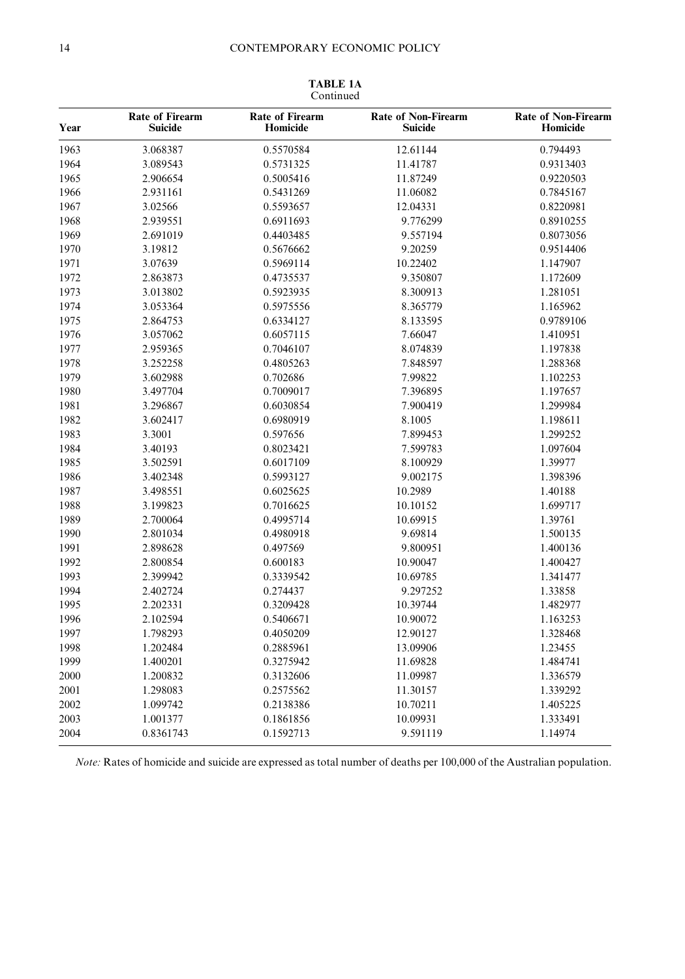| Year | <b>Rate of Firearm</b><br><b>Suicide</b> | <b>Rate of Firearm</b><br>Homicide | <b>Rate of Non-Firearm</b><br><b>Suicide</b> | <b>Rate of Non-Firearm</b><br>Homicide |
|------|------------------------------------------|------------------------------------|----------------------------------------------|----------------------------------------|
| 1963 | 3.068387                                 | 0.5570584                          | 12.61144                                     | 0.794493                               |
| 1964 | 3.089543                                 | 0.5731325                          | 11.41787                                     | 0.9313403                              |
| 1965 | 2.906654                                 | 0.5005416                          | 11.87249                                     | 0.9220503                              |
| 1966 | 2.931161                                 | 0.5431269                          | 11.06082                                     | 0.7845167                              |
| 1967 | 3.02566                                  | 0.5593657                          | 12.04331                                     | 0.8220981                              |
| 1968 | 2.939551                                 | 0.6911693                          | 9.776299                                     | 0.8910255                              |
| 1969 | 2.691019                                 | 0.4403485                          | 9.557194                                     | 0.8073056                              |
| 1970 | 3.19812                                  | 0.5676662                          | 9.20259                                      | 0.9514406                              |
| 1971 | 3.07639                                  | 0.5969114                          | 10.22402                                     | 1.147907                               |
| 1972 | 2.863873                                 | 0.4735537                          | 9.350807                                     | 1.172609                               |
| 1973 | 3.013802                                 | 0.5923935                          | 8.300913                                     | 1.281051                               |
| 1974 | 3.053364                                 | 0.5975556                          | 8.365779                                     | 1.165962                               |
| 1975 | 2.864753                                 | 0.6334127                          | 8.133595                                     | 0.9789106                              |
| 1976 | 3.057062                                 | 0.6057115                          | 7.66047                                      | 1.410951                               |
| 1977 | 2.959365                                 | 0.7046107                          | 8.074839                                     | 1.197838                               |
| 1978 | 3.252258                                 | 0.4805263                          | 7.848597                                     | 1.288368                               |
| 1979 | 3.602988                                 | 0.702686                           | 7.99822                                      | 1.102253                               |
| 1980 | 3.497704                                 | 0.7009017                          | 7.396895                                     | 1.197657                               |
| 1981 | 3.296867                                 | 0.6030854                          | 7.900419                                     | 1.299984                               |
| 1982 | 3.602417                                 | 0.6980919                          | 8.1005                                       | 1.198611                               |
| 1983 | 3.3001                                   | 0.597656                           | 7.899453                                     | 1.299252                               |
| 1984 | 3.40193                                  | 0.8023421                          | 7.599783                                     | 1.097604                               |
| 1985 | 3.502591                                 | 0.6017109                          | 8.100929                                     | 1.39977                                |
| 1986 | 3.402348                                 | 0.5993127                          | 9.002175                                     | 1.398396                               |
| 1987 | 3.498551                                 | 0.6025625                          | 10.2989                                      | 1.40188                                |
| 1988 | 3.199823                                 | 0.7016625                          | 10.10152                                     | 1.699717                               |
| 1989 | 2.700064                                 | 0.4995714                          | 10.69915                                     | 1.39761                                |
| 1990 | 2.801034                                 | 0.4980918                          | 9.69814                                      | 1.500135                               |
| 1991 | 2.898628                                 | 0.497569                           | 9.800951                                     | 1.400136                               |
| 1992 | 2.800854                                 | 0.600183                           | 10.90047                                     | 1.400427                               |
| 1993 | 2.399942                                 | 0.3339542                          | 10.69785                                     | 1.341477                               |
| 1994 | 2.402724                                 | 0.274437                           | 9.297252                                     | 1.33858                                |
| 1995 | 2.202331                                 | 0.3209428                          | 10.39744                                     | 1.482977                               |
| 1996 | 2.102594                                 | 0.5406671                          | 10.90072                                     | 1.163253                               |
| 1997 | 1.798293                                 | 0.4050209                          | 12.90127                                     | 1.328468                               |
| 1998 | 1.202484                                 | 0.2885961                          | 13.09906                                     | 1.23455                                |
| 1999 | 1.400201                                 | 0.3275942                          | 11.69828                                     | 1.484741                               |
| 2000 | 1.200832                                 | 0.3132606                          | 11.09987                                     | 1.336579                               |
| 2001 | 1.298083                                 | 0.2575562                          | 11.30157                                     | 1.339292                               |
| 2002 | 1.099742                                 | 0.2138386                          | 10.70211                                     | 1.405225                               |
| 2003 | 1.001377                                 | 0.1861856                          | 10.09931                                     | 1.333491                               |
| 2004 | 0.8361743                                | 0.1592713                          | 9.591119                                     | 1.14974                                |

TABLE 1A Continued

Note: Rates of homicide and suicide are expressed as total number of deaths per 100,000 of the Australian population.